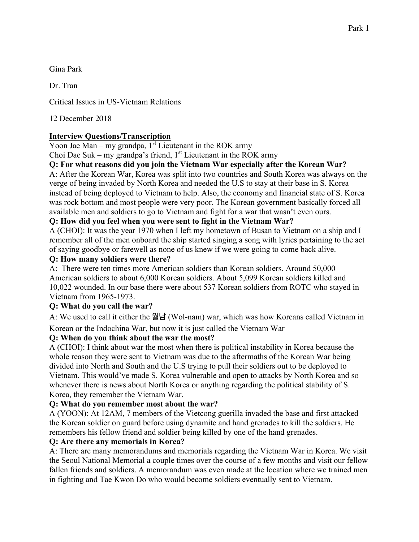Gina Park

Dr. Tran

Critical Issues in US-Vietnam Relations

12 December 2018

# **Interview Questions/Transcription**

Yoon Jae Man – my grandpa,  $1<sup>st</sup>$  Lieutenant in the ROK army

Choi Dae Suk – my grandpa's friend,  $1<sup>st</sup>$  Lieutenant in the ROK army

#### **Q: For what reasons did you join the Vietnam War especially after the Korean War?**

A: After the Korean War, Korea was split into two countries and South Korea was always on the verge of being invaded by North Korea and needed the U.S to stay at their base in S. Korea instead of being deployed to Vietnam to help. Also, the economy and financial state of S. Korea was rock bottom and most people were very poor. The Korean government basically forced all available men and soldiers to go to Vietnam and fight for a war that wasn't even ours.

#### **Q: How did you feel when you were sent to fight in the Vietnam War?**

A (CHOI): It was the year 1970 when I left my hometown of Busan to Vietnam on a ship and I remember all of the men onboard the ship started singing a song with lyrics pertaining to the act of saying goodbye or farewell as none of us knew if we were going to come back alive.

#### **Q: How many soldiers were there?**

A: There were ten times more American soldiers than Korean soldiers. Around 50,000 American soldiers to about 6,000 Korean soldiers. About 5,099 Korean soldiers killed and 10,022 wounded. In our base there were about 537 Korean soldiers from ROTC who stayed in Vietnam from 1965-1973.

# **Q: What do you call the war?**

A: We used to call it either the 월남 (Wol-nam) war, which was how Koreans called Vietnam in

Korean or the Indochina War, but now it is just called the Vietnam War

# **Q: When do you think about the war the most?**

A (CHOI): I think about war the most when there is political instability in Korea because the whole reason they were sent to Vietnam was due to the aftermaths of the Korean War being divided into North and South and the U.S trying to pull their soldiers out to be deployed to Vietnam. This would've made S. Korea vulnerable and open to attacks by North Korea and so whenever there is news about North Korea or anything regarding the political stability of S. Korea, they remember the Vietnam War.

# **Q: What do you remember most about the war?**

A (YOON): At 12AM, 7 members of the Vietcong guerilla invaded the base and first attacked the Korean soldier on guard before using dynamite and hand grenades to kill the soldiers. He remembers his fellow friend and soldier being killed by one of the hand grenades.

# **Q: Are there any memorials in Korea?**

A: There are many memorandums and memorials regarding the Vietnam War in Korea. We visit the Seoul National Memorial a couple times over the course of a few months and visit our fellow fallen friends and soldiers. A memorandum was even made at the location where we trained men in fighting and Tae Kwon Do who would become soldiers eventually sent to Vietnam.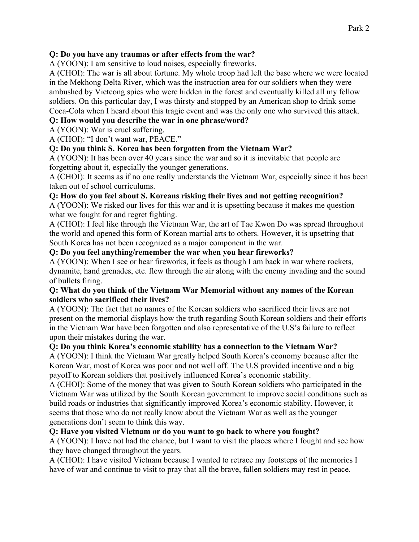#### **Q: Do you have any traumas or after effects from the war?**

A (YOON): I am sensitive to loud noises, especially fireworks.

A (CHOI): The war is all about fortune. My whole troop had left the base where we were located in the Mekhong Delta River, which was the instruction area for our soldiers when they were ambushed by Vietcong spies who were hidden in the forest and eventually killed all my fellow soldiers. On this particular day, I was thirsty and stopped by an American shop to drink some Coca-Cola when I heard about this tragic event and was the only one who survived this attack.

#### **Q: How would you describe the war in one phrase/word?**

A (YOON): War is cruel suffering.

A (CHOI): "I don't want war, PEACE."

# **Q: Do you think S. Korea has been forgotten from the Vietnam War?**

A (YOON): It has been over 40 years since the war and so it is inevitable that people are forgetting about it, especially the younger generations.

A (CHOI): It seems as if no one really understands the Vietnam War, especially since it has been taken out of school curriculums.

#### **Q: How do you feel about S. Koreans risking their lives and not getting recognition?**

A (YOON): We risked our lives for this war and it is upsetting because it makes me question what we fought for and regret fighting.

A (CHOI): I feel like through the Vietnam War, the art of Tae Kwon Do was spread throughout the world and opened this form of Korean martial arts to others. However, it is upsetting that South Korea has not been recognized as a major component in the war.

#### **Q: Do you feel anything/remember the war when you hear fireworks?**

A (YOON): When I see or hear fireworks, it feels as though I am back in war where rockets, dynamite, hand grenades, etc. flew through the air along with the enemy invading and the sound of bullets firing.

#### **Q: What do you think of the Vietnam War Memorial without any names of the Korean soldiers who sacrificed their lives?**

A (YOON): The fact that no names of the Korean soldiers who sacrificed their lives are not present on the memorial displays how the truth regarding South Korean soldiers and their efforts in the Vietnam War have been forgotten and also representative of the U.S's failure to reflect upon their mistakes during the war.

# **Q: Do you think Korea's economic stability has a connection to the Vietnam War?**

A (YOON): I think the Vietnam War greatly helped South Korea's economy because after the Korean War, most of Korea was poor and not well off. The U.S provided incentive and a big payoff to Korean soldiers that positively influenced Korea's economic stability.

A (CHOI): Some of the money that was given to South Korean soldiers who participated in the Vietnam War was utilized by the South Korean government to improve social conditions such as build roads or industries that significantly improved Korea's economic stability. However, it seems that those who do not really know about the Vietnam War as well as the younger generations don't seem to think this way.

#### **Q: Have you visited Vietnam or do you want to go back to where you fought?**

A (YOON): I have not had the chance, but I want to visit the places where I fought and see how they have changed throughout the years.

A (CHOI): I have visited Vietnam because I wanted to retrace my footsteps of the memories I have of war and continue to visit to pray that all the brave, fallen soldiers may rest in peace.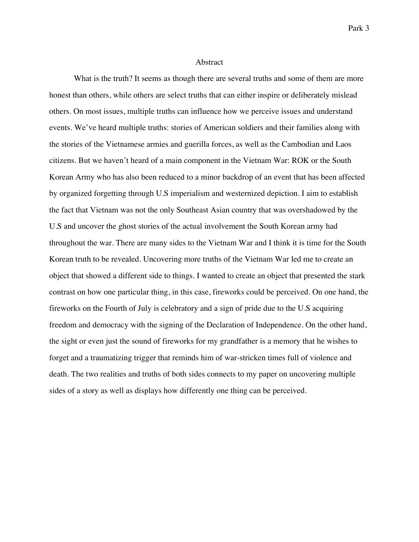#### Abstract

What is the truth? It seems as though there are several truths and some of them are more honest than others, while others are select truths that can either inspire or deliberately mislead others. On most issues, multiple truths can influence how we perceive issues and understand events. We've heard multiple truths: stories of American soldiers and their families along with the stories of the Vietnamese armies and guerilla forces, as well as the Cambodian and Laos citizens. But we haven't heard of a main component in the Vietnam War: ROK or the South Korean Army who has also been reduced to a minor backdrop of an event that has been affected by organized forgetting through U.S imperialism and westernized depiction. I aim to establish the fact that Vietnam was not the only Southeast Asian country that was overshadowed by the U.S and uncover the ghost stories of the actual involvement the South Korean army had throughout the war. There are many sides to the Vietnam War and I think it is time for the South Korean truth to be revealed. Uncovering more truths of the Vietnam War led me to create an object that showed a different side to things. I wanted to create an object that presented the stark contrast on how one particular thing, in this case, fireworks could be perceived. On one hand, the fireworks on the Fourth of July is celebratory and a sign of pride due to the U.S acquiring freedom and democracy with the signing of the Declaration of Independence. On the other hand, the sight or even just the sound of fireworks for my grandfather is a memory that he wishes to forget and a traumatizing trigger that reminds him of war-stricken times full of violence and death. The two realities and truths of both sides connects to my paper on uncovering multiple sides of a story as well as displays how differently one thing can be perceived.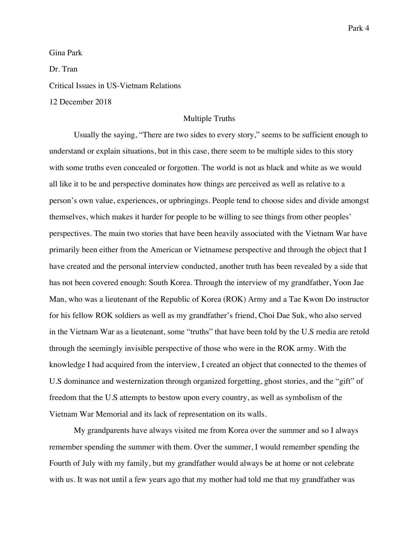Gina Park

Dr. Tran

Critical Issues in US-Vietnam Relations

12 December 2018

#### Multiple Truths

Usually the saying, "There are two sides to every story," seems to be sufficient enough to understand or explain situations, but in this case, there seem to be multiple sides to this story with some truths even concealed or forgotten. The world is not as black and white as we would all like it to be and perspective dominates how things are perceived as well as relative to a person's own value, experiences, or upbringings. People tend to choose sides and divide amongst themselves, which makes it harder for people to be willing to see things from other peoples' perspectives. The main two stories that have been heavily associated with the Vietnam War have primarily been either from the American or Vietnamese perspective and through the object that I have created and the personal interview conducted, another truth has been revealed by a side that has not been covered enough: South Korea. Through the interview of my grandfather, Yoon Jae Man, who was a lieutenant of the Republic of Korea (ROK) Army and a Tae Kwon Do instructor for his fellow ROK soldiers as well as my grandfather's friend, Choi Dae Suk, who also served in the Vietnam War as a lieutenant, some "truths" that have been told by the U.S media are retold through the seemingly invisible perspective of those who were in the ROK army. With the knowledge I had acquired from the interview, I created an object that connected to the themes of U.S dominance and westernization through organized forgetting, ghost stories, and the "gift" of freedom that the U.S attempts to bestow upon every country, as well as symbolism of the Vietnam War Memorial and its lack of representation on its walls.

My grandparents have always visited me from Korea over the summer and so I always remember spending the summer with them. Over the summer, I would remember spending the Fourth of July with my family, but my grandfather would always be at home or not celebrate with us. It was not until a few years ago that my mother had told me that my grandfather was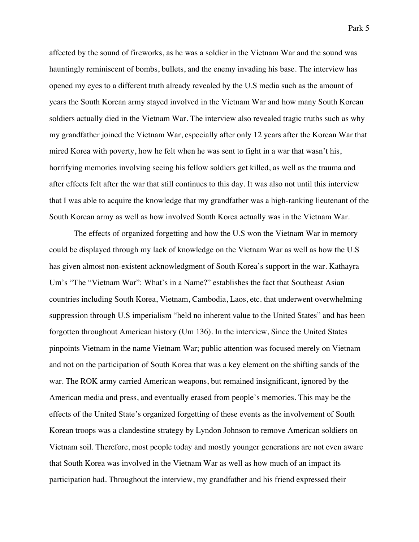Park 5

affected by the sound of fireworks, as he was a soldier in the Vietnam War and the sound was hauntingly reminiscent of bombs, bullets, and the enemy invading his base. The interview has opened my eyes to a different truth already revealed by the U.S media such as the amount of years the South Korean army stayed involved in the Vietnam War and how many South Korean soldiers actually died in the Vietnam War. The interview also revealed tragic truths such as why my grandfather joined the Vietnam War, especially after only 12 years after the Korean War that mired Korea with poverty, how he felt when he was sent to fight in a war that wasn't his, horrifying memories involving seeing his fellow soldiers get killed, as well as the trauma and after effects felt after the war that still continues to this day. It was also not until this interview that I was able to acquire the knowledge that my grandfather was a high-ranking lieutenant of the South Korean army as well as how involved South Korea actually was in the Vietnam War.

The effects of organized forgetting and how the U.S won the Vietnam War in memory could be displayed through my lack of knowledge on the Vietnam War as well as how the U.S has given almost non-existent acknowledgment of South Korea's support in the war. Kathayra Um's "The "Vietnam War": What's in a Name?" establishes the fact that Southeast Asian countries including South Korea, Vietnam, Cambodia, Laos, etc. that underwent overwhelming suppression through U.S imperialism "held no inherent value to the United States" and has been forgotten throughout American history (Um 136). In the interview, Since the United States pinpoints Vietnam in the name Vietnam War; public attention was focused merely on Vietnam and not on the participation of South Korea that was a key element on the shifting sands of the war. The ROK army carried American weapons, but remained insignificant, ignored by the American media and press, and eventually erased from people's memories. This may be the effects of the United State's organized forgetting of these events as the involvement of South Korean troops was a clandestine strategy by Lyndon Johnson to remove American soldiers on Vietnam soil. Therefore, most people today and mostly younger generations are not even aware that South Korea was involved in the Vietnam War as well as how much of an impact its participation had. Throughout the interview, my grandfather and his friend expressed their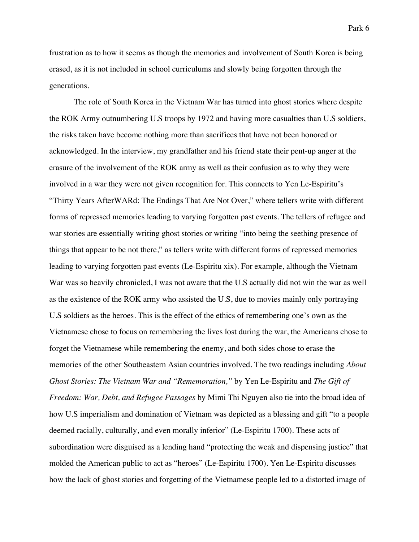frustration as to how it seems as though the memories and involvement of South Korea is being erased, as it is not included in school curriculums and slowly being forgotten through the generations.

The role of South Korea in the Vietnam War has turned into ghost stories where despite the ROK Army outnumbering U.S troops by 1972 and having more casualties than U.S soldiers, the risks taken have become nothing more than sacrifices that have not been honored or acknowledged. In the interview, my grandfather and his friend state their pent-up anger at the erasure of the involvement of the ROK army as well as their confusion as to why they were involved in a war they were not given recognition for. This connects to Yen Le-Espiritu's "Thirty Years AfterWARd: The Endings That Are Not Over," where tellers write with different forms of repressed memories leading to varying forgotten past events. The tellers of refugee and war stories are essentially writing ghost stories or writing "into being the seething presence of things that appear to be not there," as tellers write with different forms of repressed memories leading to varying forgotten past events (Le-Espiritu xix). For example, although the Vietnam War was so heavily chronicled, I was not aware that the U.S actually did not win the war as well as the existence of the ROK army who assisted the U.S, due to movies mainly only portraying U.S soldiers as the heroes. This is the effect of the ethics of remembering one's own as the Vietnamese chose to focus on remembering the lives lost during the war, the Americans chose to forget the Vietnamese while remembering the enemy, and both sides chose to erase the memories of the other Southeastern Asian countries involved. The two readings including *About Ghost Stories: The Vietnam War and "Rememoration,"* by Yen Le-Espiritu and *The Gift of Freedom: War, Debt, and Refugee Passages* by Mimi Thi Nguyen also tie into the broad idea of how U.S imperialism and domination of Vietnam was depicted as a blessing and gift "to a people deemed racially, culturally, and even morally inferior" (Le-Espiritu 1700). These acts of subordination were disguised as a lending hand "protecting the weak and dispensing justice" that molded the American public to act as "heroes" (Le-Espiritu 1700). Yen Le-Espiritu discusses how the lack of ghost stories and forgetting of the Vietnamese people led to a distorted image of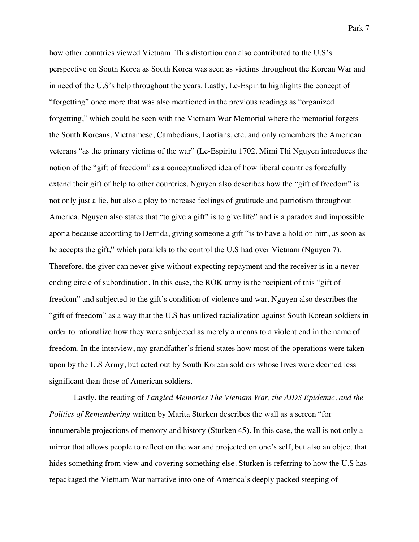how other countries viewed Vietnam. This distortion can also contributed to the U.S's perspective on South Korea as South Korea was seen as victims throughout the Korean War and in need of the U.S's help throughout the years. Lastly, Le-Espiritu highlights the concept of "forgetting" once more that was also mentioned in the previous readings as "organized forgetting," which could be seen with the Vietnam War Memorial where the memorial forgets the South Koreans, Vietnamese, Cambodians, Laotians, etc. and only remembers the American veterans "as the primary victims of the war" (Le-Espiritu 1702. Mimi Thi Nguyen introduces the notion of the "gift of freedom" as a conceptualized idea of how liberal countries forcefully extend their gift of help to other countries. Nguyen also describes how the "gift of freedom" is not only just a lie, but also a ploy to increase feelings of gratitude and patriotism throughout America. Nguyen also states that "to give a gift" is to give life" and is a paradox and impossible aporia because according to Derrida, giving someone a gift "is to have a hold on him, as soon as he accepts the gift," which parallels to the control the U.S had over Vietnam (Nguyen 7). Therefore, the giver can never give without expecting repayment and the receiver is in a neverending circle of subordination. In this case, the ROK army is the recipient of this "gift of freedom" and subjected to the gift's condition of violence and war. Nguyen also describes the "gift of freedom" as a way that the U.S has utilized racialization against South Korean soldiers in order to rationalize how they were subjected as merely a means to a violent end in the name of freedom. In the interview, my grandfather's friend states how most of the operations were taken upon by the U.S Army, but acted out by South Korean soldiers whose lives were deemed less significant than those of American soldiers.

Lastly, the reading of *Tangled Memories The Vietnam War, the AIDS Epidemic, and the Politics of Remembering* written by Marita Sturken describes the wall as a screen "for innumerable projections of memory and history (Sturken 45). In this case, the wall is not only a mirror that allows people to reflect on the war and projected on one's self, but also an object that hides something from view and covering something else. Sturken is referring to how the U.S has repackaged the Vietnam War narrative into one of America's deeply packed steeping of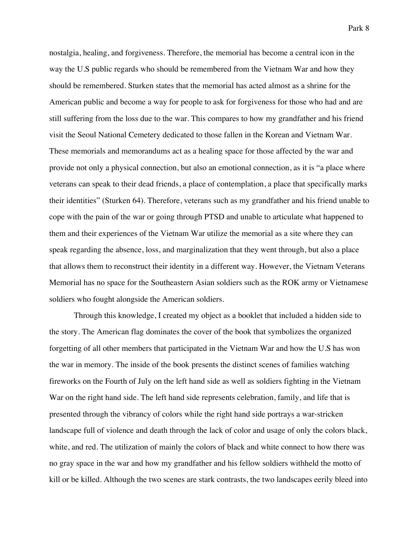nostalgia, healing, and forgiveness. Therefore, the memorial has become a central icon in the way the U.S public regards who should be remembered from the Vietnam War and how they should be remembered. Sturken states that the memorial has acted almost as a shrine for the American public and become a way for people to ask for forgiveness for those who had and are still suffering from the loss due to the war. This compares to how my grandfather and his friend visit the Seoul National Cemetery dedicated to those fallen in the Korean and Vietnam War. These memorials and memorandums act as a healing space for those affected by the war and provide not only a physical connection, but also an emotional connection, as it is "a place where veterans can speak to their dead friends, a place of contemplation, a place that specifically marks their identities" (Sturken 64). Therefore, veterans such as my grandfather and his friend unable to cope with the pain of the war or going through PTSD and unable to articulate what happened to them and their experiences of the Vietnam War utilize the memorial as a site where they can speak regarding the absence, loss, and marginalization that they went through, but also a place that allows them to reconstruct their identity in a different way. However, the Vietnam Veterans Memorial has no space for the Southeastern Asian soldiers such as the ROK army or Vietnamese soldiers who fought alongside the American soldiers.

Through this knowledge, I created my object as a booklet that included a hidden side to the story. The American flag dominates the cover of the book that symbolizes the organized forgetting of all other members that participated in the Vietnam War and how the U.S has won the war in memory. The inside of the book presents the distinct scenes of families watching fireworks on the Fourth of July on the left hand side as well as soldiers fighting in the Vietnam War on the right hand side. The left hand side represents celebration, family, and life that is presented through the vibrancy of colors while the right hand side portrays a war-stricken landscape full of violence and death through the lack of color and usage of only the colors black, white, and red. The utilization of mainly the colors of black and white connect to how there was no gray space in the war and how my grandfather and his fellow soldiers withheld the motto of kill or be killed. Although the two scenes are stark contrasts, the two landscapes eerily bleed into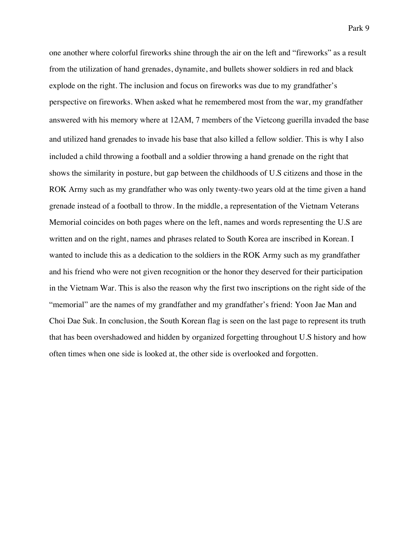one another where colorful fireworks shine through the air on the left and "fireworks" as a result from the utilization of hand grenades, dynamite, and bullets shower soldiers in red and black explode on the right. The inclusion and focus on fireworks was due to my grandfather's perspective on fireworks. When asked what he remembered most from the war, my grandfather answered with his memory where at 12AM, 7 members of the Vietcong guerilla invaded the base and utilized hand grenades to invade his base that also killed a fellow soldier. This is why I also included a child throwing a football and a soldier throwing a hand grenade on the right that shows the similarity in posture, but gap between the childhoods of U.S citizens and those in the ROK Army such as my grandfather who was only twenty-two years old at the time given a hand grenade instead of a football to throw. In the middle, a representation of the Vietnam Veterans Memorial coincides on both pages where on the left, names and words representing the U.S are written and on the right, names and phrases related to South Korea are inscribed in Korean. I wanted to include this as a dedication to the soldiers in the ROK Army such as my grandfather and his friend who were not given recognition or the honor they deserved for their participation in the Vietnam War. This is also the reason why the first two inscriptions on the right side of the "memorial" are the names of my grandfather and my grandfather's friend: Yoon Jae Man and Choi Dae Suk. In conclusion, the South Korean flag is seen on the last page to represent its truth that has been overshadowed and hidden by organized forgetting throughout U.S history and how often times when one side is looked at, the other side is overlooked and forgotten.